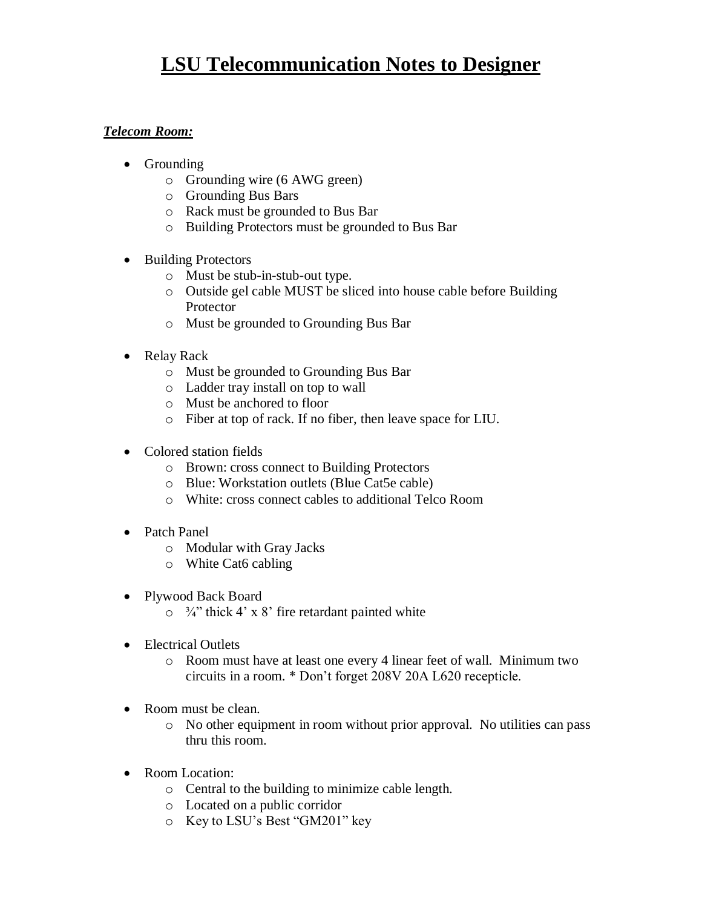# **LSU Telecommunication Notes to Designer**

#### *Telecom Room:*

- Grounding
	- o Grounding wire (6 AWG green)
	- o Grounding Bus Bars
	- o Rack must be grounded to Bus Bar
	- o Building Protectors must be grounded to Bus Bar
- Building Protectors
	- o Must be stub-in-stub-out type.
	- o Outside gel cable MUST be sliced into house cable before Building Protector
	- o Must be grounded to Grounding Bus Bar
- Relay Rack
	- o Must be grounded to Grounding Bus Bar
	- o Ladder tray install on top to wall
	- o Must be anchored to floor
	- o Fiber at top of rack. If no fiber, then leave space for LIU.
- Colored station fields
	- o Brown: cross connect to Building Protectors
	- o Blue: Workstation outlets (Blue Cat5e cable)
	- o White: cross connect cables to additional Telco Room
- Patch Panel
	- o Modular with Gray Jacks
	- o White Cat6 cabling
- Plywood Back Board
	- $\circ$   $\frac{3}{4}$  thick 4' x 8' fire retardant painted white
- Electrical Outlets
	- o Room must have at least one every 4 linear feet of wall. Minimum two circuits in a room. \* Don't forget 208V 20A L620 recepticle.
- Room must be clean.
	- o No other equipment in room without prior approval. No utilities can pass thru this room.
- Room Location:
	- o Central to the building to minimize cable length.
	- o Located on a public corridor
	- o Key to LSU's Best "GM201" key